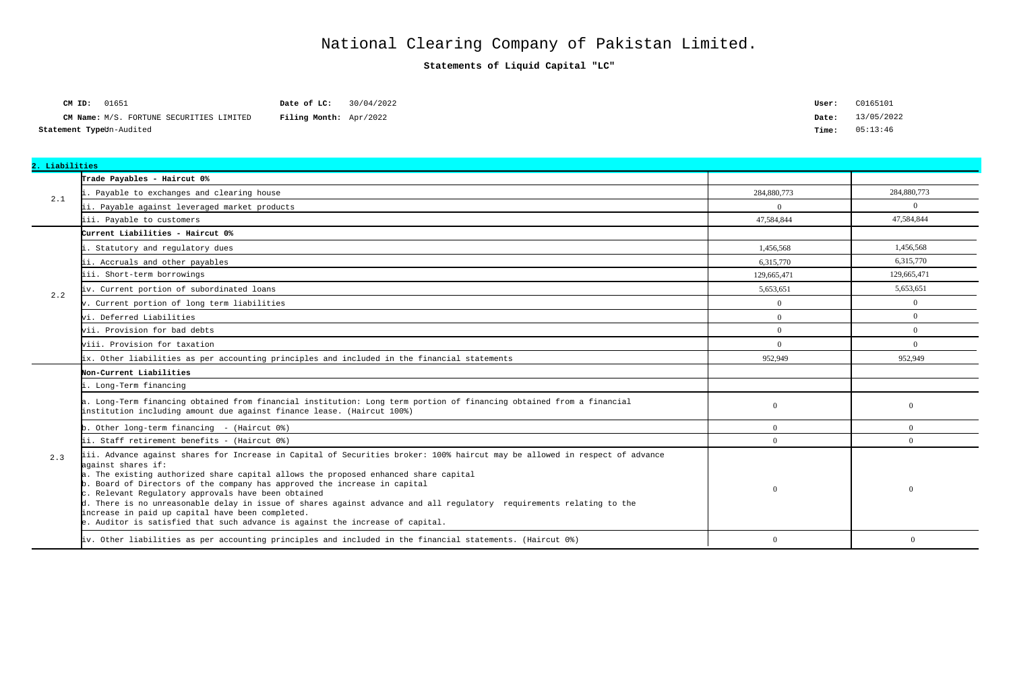| <b>CM ID:</b> 01651      |                                          |  | Date of LC:                   | 30/04/2022 |
|--------------------------|------------------------------------------|--|-------------------------------|------------|
|                          | CM Name: M/S. FORTUNE SECURITIES LIMITED |  | <b>Filing Month:</b> Apr/2022 |            |
| Statement TypeUn-Audited |                                          |  |                               |            |

| User: | C0165101   |
|-------|------------|
| Date: | 13/05/2022 |
| Time: | 05:13:46   |

**Statements of Liquid Capital "LC"**

## National Clearing Company of Pakistan Limited.

| 2. Liabilities |                                                                                                                                                                                                                                                                                                                                                                                                                                                                                                                                                                                                                                           |                |                |
|----------------|-------------------------------------------------------------------------------------------------------------------------------------------------------------------------------------------------------------------------------------------------------------------------------------------------------------------------------------------------------------------------------------------------------------------------------------------------------------------------------------------------------------------------------------------------------------------------------------------------------------------------------------------|----------------|----------------|
|                | Trade Payables - Haircut 0%                                                                                                                                                                                                                                                                                                                                                                                                                                                                                                                                                                                                               |                |                |
| 2.1            | . Payable to exchanges and clearing house                                                                                                                                                                                                                                                                                                                                                                                                                                                                                                                                                                                                 | 284,880,773    | 284,880,773    |
|                | ii. Payable against leveraged market products                                                                                                                                                                                                                                                                                                                                                                                                                                                                                                                                                                                             | $\Omega$       | $\Omega$       |
|                | iii. Payable to customers                                                                                                                                                                                                                                                                                                                                                                                                                                                                                                                                                                                                                 | 47,584,844     | 47,584,844     |
|                | Current Liabilities - Haircut 0%                                                                                                                                                                                                                                                                                                                                                                                                                                                                                                                                                                                                          |                |                |
|                | Statutory and regulatory dues                                                                                                                                                                                                                                                                                                                                                                                                                                                                                                                                                                                                             | 1.456.568      | 1.456.568      |
|                | ii. Accruals and other payables                                                                                                                                                                                                                                                                                                                                                                                                                                                                                                                                                                                                           | 6.315.770      | 6,315,770      |
|                | iii. Short-term borrowings                                                                                                                                                                                                                                                                                                                                                                                                                                                                                                                                                                                                                | 129,665,471    | 129,665,471    |
|                | iv. Current portion of subordinated loans                                                                                                                                                                                                                                                                                                                                                                                                                                                                                                                                                                                                 | 5,653,651      | 5,653,651      |
| 2.2            | v. Current portion of long term liabilities                                                                                                                                                                                                                                                                                                                                                                                                                                                                                                                                                                                               | $\overline{0}$ | $\theta$       |
|                | vi. Deferred Liabilities                                                                                                                                                                                                                                                                                                                                                                                                                                                                                                                                                                                                                  | $\Omega$       | $\Omega$       |
|                | vii. Provision for bad debts                                                                                                                                                                                                                                                                                                                                                                                                                                                                                                                                                                                                              | $\Omega$       | $\overline{0}$ |
|                | wiii. Provision for taxation                                                                                                                                                                                                                                                                                                                                                                                                                                                                                                                                                                                                              | $\Omega$       | $\Omega$       |
|                | ix. Other liabilities as per accounting principles and included in the financial statements                                                                                                                                                                                                                                                                                                                                                                                                                                                                                                                                               | 952.949        | 952,949        |
|                | Non-Current Liabilities                                                                                                                                                                                                                                                                                                                                                                                                                                                                                                                                                                                                                   |                |                |
|                | . Long-Term financing                                                                                                                                                                                                                                                                                                                                                                                                                                                                                                                                                                                                                     |                |                |
|                | a. Long-Term financing obtained from financial institution: Long term portion of financing obtained from a financial<br>institution including amount due against finance lease. (Haircut 100%)                                                                                                                                                                                                                                                                                                                                                                                                                                            | $\overline{0}$ | $\overline{0}$ |
|                | b. Other long-term financing - (Haircut 0%)                                                                                                                                                                                                                                                                                                                                                                                                                                                                                                                                                                                               | $\Omega$       | $\theta$       |
|                | ii. Staff retirement benefits - (Haircut 0%)                                                                                                                                                                                                                                                                                                                                                                                                                                                                                                                                                                                              | $\Omega$       | $\Omega$       |
| 2.3            | iii. Advance against shares for Increase in Capital of Securities broker: 100% haircut may be allowed in respect of advance<br>against shares if:<br>a. The existing authorized share capital allows the proposed enhanced share capital<br>b. Board of Directors of the company has approved the increase in capital<br>c. Relevant Regulatory approvals have been obtained<br>d. There is no unreasonable delay in issue of shares against advance and all regulatory requirements relating to the<br>increase in paid up capital have been completed.<br>e. Auditor is satisfied that such advance is against the increase of capital. | $\overline{0}$ | $\overline{0}$ |
|                | iv. Other liabilities as per accounting principles and included in the financial statements. (Haircut 0%)                                                                                                                                                                                                                                                                                                                                                                                                                                                                                                                                 | $\overline{0}$ | $\Omega$       |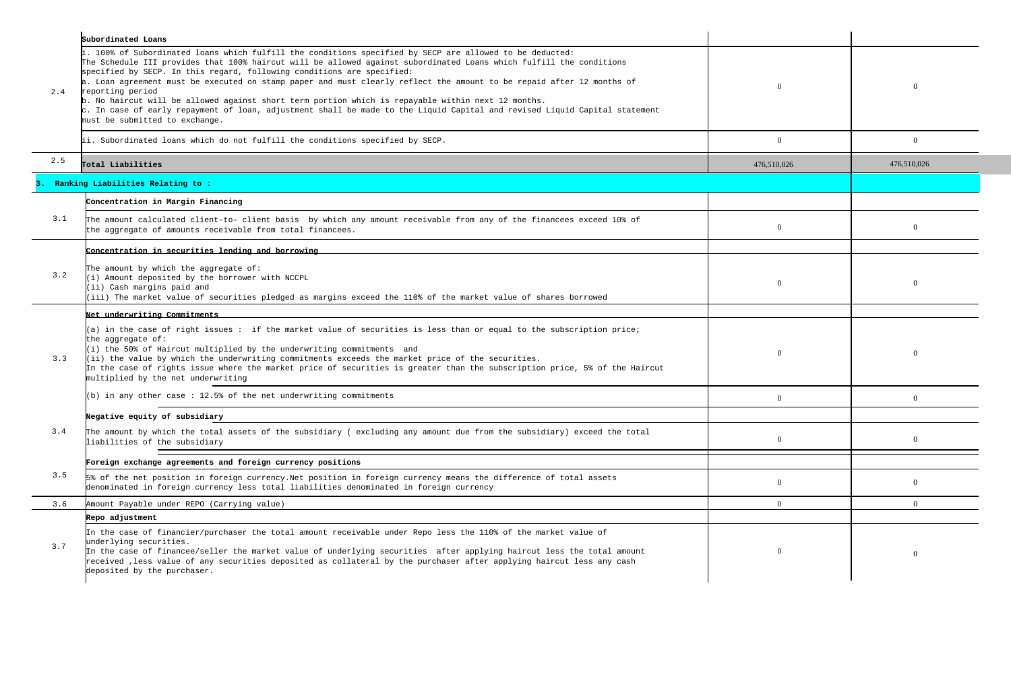|     | Subordinated Loans                                                                                                                                                                                                                                                                                                                                                                                                                                                                                                                                                                                                                                                                                                                  |             |                |
|-----|-------------------------------------------------------------------------------------------------------------------------------------------------------------------------------------------------------------------------------------------------------------------------------------------------------------------------------------------------------------------------------------------------------------------------------------------------------------------------------------------------------------------------------------------------------------------------------------------------------------------------------------------------------------------------------------------------------------------------------------|-------------|----------------|
| 2.4 | i. 100% of Subordinated loans which fulfill the conditions specified by SECP are allowed to be deducted:<br>The Schedule III provides that 100% haircut will be allowed against subordinated Loans which fulfill the conditions<br>specified by SECP. In this regard, following conditions are specified:<br>a. Loan agreement must be executed on stamp paper and must clearly reflect the amount to be repaid after 12 months of<br>reporting period<br>b. No haircut will be allowed against short term portion which is repayable within next 12 months.<br>$\rm c$ . In case of early repayment of loan, adjustment shall be made to the Liquid Capital and revised Liquid Capital statement<br>must be submitted to exchange. |             | $\Omega$       |
|     | ii. Subordinated loans which do not fulfill the conditions specified by SECP.                                                                                                                                                                                                                                                                                                                                                                                                                                                                                                                                                                                                                                                       | $\Omega$    | $\overline{0}$ |
| 2.5 | Total Liabilities                                                                                                                                                                                                                                                                                                                                                                                                                                                                                                                                                                                                                                                                                                                   | 476,510,026 | 476,510,026    |
|     | Ranking Liabilities Relating to :                                                                                                                                                                                                                                                                                                                                                                                                                                                                                                                                                                                                                                                                                                   |             |                |
|     | Concentration in Margin Financing                                                                                                                                                                                                                                                                                                                                                                                                                                                                                                                                                                                                                                                                                                   |             |                |
| 3.1 | The amount calculated client-to- client basis by which any amount receivable from any of the financees exceed 10% of<br>the aggregate of amounts receivable from total financees.                                                                                                                                                                                                                                                                                                                                                                                                                                                                                                                                                   | $\Omega$    | $\overline{0}$ |
|     | Concentration in securities lending and borrowing                                                                                                                                                                                                                                                                                                                                                                                                                                                                                                                                                                                                                                                                                   |             |                |
| 3.2 | The amount by which the aggregate of:<br>(i) Amount deposited by the borrower with NCCPL<br>(ii) Cash margins paid and<br>(iii) The market value of securities pledged as margins exceed the 110% of the market value of shares borrowed                                                                                                                                                                                                                                                                                                                                                                                                                                                                                            |             | $\Omega$       |
|     | Net underwriting Commitments                                                                                                                                                                                                                                                                                                                                                                                                                                                                                                                                                                                                                                                                                                        |             |                |
| 3.3 | $(a)$ in the case of right issues: if the market value of securities is less than or equal to the subscription price;<br>the aggregate of:<br>(i) the 50% of Haircut multiplied by the underwriting commitments and<br>$(iii)$ the value by which the underwriting commitments exceeds the market price of the securities.<br>In the case of rights issue where the market price of securities is greater than the subscription price, 5% of the Haircut<br>multiplied by the net underwriting                                                                                                                                                                                                                                      |             | $\Omega$       |
|     | (b) in any other case : 12.5% of the net underwriting commitments                                                                                                                                                                                                                                                                                                                                                                                                                                                                                                                                                                                                                                                                   | $\Omega$    | $\Omega$       |
|     | Negative equity of subsidiary                                                                                                                                                                                                                                                                                                                                                                                                                                                                                                                                                                                                                                                                                                       |             |                |
| 3.4 | The amount by which the total assets of the subsidiary (excluding any amount due from the subsidiary) exceed the total<br>liabilities of the subsidiary                                                                                                                                                                                                                                                                                                                                                                                                                                                                                                                                                                             |             | $\theta$       |
|     | Foreign exchange agreements and foreign currency positions                                                                                                                                                                                                                                                                                                                                                                                                                                                                                                                                                                                                                                                                          |             |                |
| 3.5 | 5% of the net position in foreign currency. Net position in foreign currency means the difference of total assets<br>denominated in foreign currency less total liabilities denominated in foreign currency                                                                                                                                                                                                                                                                                                                                                                                                                                                                                                                         |             | $\overline{0}$ |
| 3.6 | Amount Payable under REPO (Carrying value)                                                                                                                                                                                                                                                                                                                                                                                                                                                                                                                                                                                                                                                                                          | $\Omega$    | $\theta$       |
|     | Repo adjustment                                                                                                                                                                                                                                                                                                                                                                                                                                                                                                                                                                                                                                                                                                                     |             |                |
| 3.7 | In the case of financier/purchaser the total amount receivable under Repo less the 110% of the market value of<br>underlying securities.<br>In the case of financee/seller the market value of underlying securities after applying haircut less the total amount<br>received , less value of any securities deposited as collateral by the purchaser after applying haircut less any cash<br>deposited by the purchaser.                                                                                                                                                                                                                                                                                                           |             | $\Omega$       |
|     |                                                                                                                                                                                                                                                                                                                                                                                                                                                                                                                                                                                                                                                                                                                                     |             |                |